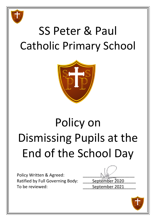

# SS Peter & Paul Catholic Primary School



# Policy on Dismissing Pupils at the End of the School Day

Policy Written & Agreed: Ratified by Full Governing Body: \_\_\_\_\_ September 2020 To be reviewed: To be reviewed:

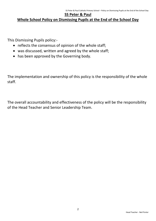# **SS Peter & Paul**

# **Whole School Policy on Dismissing Pupils at the End of the School Day**

This Dismissing Pupils policy:-

- reflects the consensus of opinion of the whole staff;
- was discussed, written and agreed by the whole staff;
- has been approved by the Governing body.

The implementation and ownership of this policy is the responsibility of the whole staff.

The overall accountability and effectiveness of the policy will be the responsibility of the Head Teacher and Senior Leadership Team.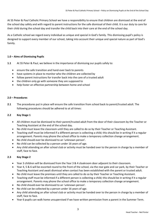At SS Peter & Paul Catholic Primary School we have a responsibility to ensure that children are dismissed at the end of the school day safely and with regard to parent instructions for the safe dismissal of their child. It is our duty to care for their child during the school day and transfer the child back into their care at the end of the school day.

As a Catholic school we regard every individual as unique and special in God's family. This dismissing pupil's policy is designed to support every member of our school, taking into account their unique and special nature as part of God's family.

# **1.0 – Aims of Dismissing Pupils**

- **1.1** At SS Peter & Paul, we believe in the importance of dismissing our pupils safely to:
	- ensure the safe transition and hand-over back to parents
	- have systems in place to monitor who the children are collected by
	- follow parent instructions for transfer back into the care of a trusted adult
	- the children only go with someone they are supposed to
	- help foster an effective partnership between home and school

#### **2.0 – Procedures**

**2.1** The procedures put in place will ensure the safe transition from school back to parent/trusted adult. The following procedures should be adhered to at all times:

# **2.2 Key Stage 1**

- All children must be dismissed to their parent/trusted adult from the door of their classroom by the Teacher or Teaching Assistant at the end of the school day.
- No child must leave the classroom until they are called to do so by their Teacher or Teaching Assistant.
- Teaching staff must be informed if a different person is collecting a child; this should be in writing if it a regular arrangement. Parents may phone the school office to make a temporary collection change arrangement.
- No child should ever be dismissed to an 'unknown person'.
- No child can be collected by a person under 16 years of age.
- Any child attending an after school club or activity must be handed over to the person in charge by a member of staff, face to face.

# **2.3 Key Stage 2**

- Year 3 children will be dismissed from the Year 3 & 4 cloakroom door adjacent to their classroom.
- Year 4, 5 & 6 will be escorted round to the front of the school, via the rear gate and car park, by their Teacher or Teaching Assistant and await dismissal when contact has been established with the parent or trusted adult.
- No child must leave the premises until they are called to do so by their Teacher or Teaching Assistant.
- Teaching staff must be informed if a different person is collecting a child; this should be in writing if it a regular arrangement. Parents may phone the school office to make a temporary collection change arrangement.
- No child should ever be dismissed to an 'unknown person'.
- No child can be collected by a person under 16 years of age.
- Any child attending an after school club or activity must be handed over to the person in charge by a member of staff, face to face.
- Year 6 pupils can walk home unsupervised if we have written permission from a parent in the Summer Term.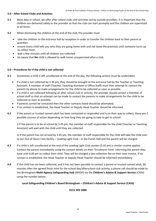# **3.0 – After School Clubs and Activities**

- **3.1** Most days in school, we offer after school clubs and activities led by outside providers. It is important that the children are delivered safely to the provider so that the club can start promptly and the children are supervised at all times.
- **3.2** When dismissing the children at the end of the club, the provider must:
	- take the children to the entrance hall by reception in order to transfer the children back to their parent or guardian.
	- ensure every child tells you who they are going home with and not leave the premises until someone turns up to collect them.
	- wait a few minutes until all children are collected.
	- be aware that **No** child is allowed to walk home unsupervised after a club.

#### **4.0 – Procedures for if the child is not collected**

- **4.1** Sometimes a child is left uncollected at the end of the day, the following actions must be undertaken:
	- If a child is not collected by 3.30 pm, they should be brought to the entrance hall by the Teacher or Teaching Assistant. A member of staff (Teacher, Teaching Assistant or Office Staff) must then attempt to contact the parents by phone to make arrangements for the child to be collected as soon as possible.
	- If a child is not collected following an after school club or activity, the provider should contact a member of school staff so that an attempt can be made to contact the parents to make arrangements for the child to be collected as soon as possible.
	- If parents cannot be contacted then the other contacts listed should be attempted.
	- If no contact is established, the Head Teacher or Deputy Head Teacher should be informed.
- **4.2** If the parent or trusted named adult has been contacted or responded and is on their way to collect, there are 2 possible courses of action depending on how long they are going to take to get to school:

i) If the parent is to be at school by 3.45 pm, the member of staff responsible for the child (Teacher or Teaching Assistant) will wait with the child until they are collected.

ii) If the parent has not arrived by 3.45 pm, the member of staff responsible for the child will take the child over to our Out of Hours Care facility – Leading Light Club – in the Parish Hall and the parent will be charged.

- **4.3** If a child is left uncollected at the end of the Leading Light Club session (5.45 pm) a similar routine applies. Contact the parent immediately using the contact details on their 'Enrolment Form' informing the parent they have until 6.00 pm to collect their child. They will be charged a late collection fee on their next invoice. If no contact is established, the Head Teacher or Deputy Head Teacher should be informed immediately.
- **4.4** If the child has not been collected, and it has not been possible to contact a parent or trusted named adult, 60 minutes after the agreed finish time for the school day/afterschool club activity, a phone call should be made to the Birmingham **Multi-Agency Safeguarding Hub** (MASH) via the **Children's Advice & Support Service** (CASS) using the number below:

**Local Safeguarding Children's Board Birmingham – Children's Advice & Support Service (CASS)**

#### **0121 303 1888**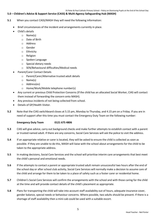# **5.0 – Children's Advice & Support Service (CASS) & Multi-Agency Safeguarding Hub (MASH)**

- **5.1** When you contact CASS/MASH they will need the following information:
	- Brief circumstances of the incident and arrangements currently in place.
		- Child's details
			- o Name(s)
			- o Date of Birth
			- o Address
			- o Gender
			- o Ethnicity
			- o Religion
			- o Spoken Language
			- o Special dietary needs
			- o SEN/Behavioural difficulties/Medical needs
		- Parent/Carer Contact Details
			- o Parent/Carer/Alternative trusted adult details
			- o Name(s)
			- o Address(es)
			- o Home/Work/Mobile telephone number(s)
	- Any current or previous Child Protection Concerns (If the child has an allocated Social Worker, CIAS will contact them instead of forwarding the concern onto MASH).
	- Any previous incidents of not being collected from school.
	- Details of GP/Health Visitor.
- **5.2** Note that the CIAS switchboard closes at 5.15 pm, Monday to Thursday, and 4.15 pm on a Friday. If you are in need of support after this time you must contact the Emergency Duty Team on the following number:

# **Emergency Duty Team 0121 675 4806**

- **5.3** CIAS will give advice, carry out background checks and make further attempts to establish contact with a parent or trusted named adult. If there are any concerns, Social Care Services will ask the police to visit the address.
- **5.4** If an appropriate relative or carer is located, they will be asked to ensure the child is collected as soon as possible. If they are unable to do this, MASH will liaise with the school about arrangements for the child to be taken to the appropriate address.
- **5.5** In making decisions, Social Care Services and the school will prioritise interim care arrangements that best meet the child's personal and emotional needs.
- **5.6** If the attempts to contact a parent or appropriate trusted adult remain unsuccessful two hours after the end of the school day or after school club activity, Social Care Services will normally make a decision to assume care of the child and arrange for them to be taken to a place of safety such as a foster carer or residential home.
- **5.7** Children's Social Care Services will confirm the arrangements with the school and with those caring for the child at the time and will provide contact details of the child's placement as appropriate.
- **5.8** Plans for transporting the child will take into account staff availability out of hours, adequate insurance cover, gender balance, special needs or behaviour concerns. Where possible, two adults should be present. If there is a shortage of staff availability then a mini-cab could be used with a suitable escort.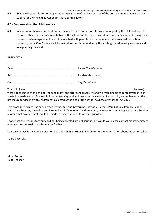SS Peter & Paul Catholic Primary School – Policy on Dismissing Pupils at the End of the School Day

**5.9** School will send a letter to the parent notifying them of the incident and of the arrangements that were made to care for the child. (See Appendix A for a sample letter)

# **6.0 – Concerns about the child's welfare**

**6.1** Where more than one incident occurs, or where there are reasons for concern regarding the ability of parents to collect their child, a discussion between the school and the parent will identify a strategy for addressing these concerns. Where agreement cannot be reached with parents or in cases where there are child protection concerns, Social Care Services will be invited to contribute to identify the strategy for addressing concerns and safeguarding the child.

# **APPENDIX A**

| were not collected at the end of [the school day][the after school activity] and we were unable to contact you or your<br>trusted named carer(s). As a result, in order to safeguard and promote the welfare of your child, we implemented the<br>procedure for dealing with children not collected at the end of [the school day][the after school activity].<br>This procedure, which has been agreed by the Staff and Governing Body of SS Peter & Paul Catholic Primary School,<br>Social Care Services, the Police and Birmingham Safeguarding Children Board, involved us contacting Social Care Services<br>in order that arrangements could be made to ensure your child was safeguarded.<br>I hope that the reasons for your child not being collected are not serious, but would you please contact me immediately<br>upon your return to discuss this matter further. |
|----------------------------------------------------------------------------------------------------------------------------------------------------------------------------------------------------------------------------------------------------------------------------------------------------------------------------------------------------------------------------------------------------------------------------------------------------------------------------------------------------------------------------------------------------------------------------------------------------------------------------------------------------------------------------------------------------------------------------------------------------------------------------------------------------------------------------------------------------------------------------------|
| You can contact Social Care Services on 0121 303 1888 or 0121 675 4806 for further information about the action taken.                                                                                                                                                                                                                                                                                                                                                                                                                                                                                                                                                                                                                                                                                                                                                           |
| Yours sincerely,                                                                                                                                                                                                                                                                                                                                                                                                                                                                                                                                                                                                                                                                                                                                                                                                                                                                 |

Mr N. Porter Head Teacher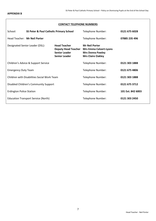#### **CONTACT TELEPHONE NUMBERS**

| School:                                     | <b>SS Peter &amp; Paul Catholic Primary School</b> |                                                                                                   | Telephone Number:                                                                                             | 0121 675 6028     |
|---------------------------------------------|----------------------------------------------------|---------------------------------------------------------------------------------------------------|---------------------------------------------------------------------------------------------------------------|-------------------|
|                                             | Head Teacher: Mr Neil Porter                       |                                                                                                   | Telephone Number:                                                                                             | 07885 235 496     |
|                                             | Designated Senior Leader (DSL):                    | <b>Head Teacher</b><br><b>Deputy Head Teacher</b><br><b>Senior Leader</b><br><b>Senior Leader</b> | <b>Mr Neil Porter</b><br><b>Mrs Emma Calvert-Lyons</b><br><b>Mrs Donna Pawley</b><br><b>Mrs Claire Oakley</b> |                   |
| Children's Advice & Support Service         |                                                    |                                                                                                   | Telephone Number:                                                                                             | 0121 303 1888     |
| <b>Emergency Duty Team</b>                  |                                                    |                                                                                                   | Telephone Number:                                                                                             | 0121 675 4806     |
| Children with Disabilities Social Work Team |                                                    |                                                                                                   | Telephone Number:                                                                                             | 0121 303 1888     |
| Disabled Children's Community Support       |                                                    |                                                                                                   | Telephone Number:                                                                                             | 0121 675 3712     |
| <b>Erdington Police Station</b>             |                                                    |                                                                                                   | Telephone Number:                                                                                             | 101 Ext. 842 6003 |
| <b>Education Transport Service (North)</b>  |                                                    |                                                                                                   | Telephone Number:                                                                                             | 0121 303 2450     |